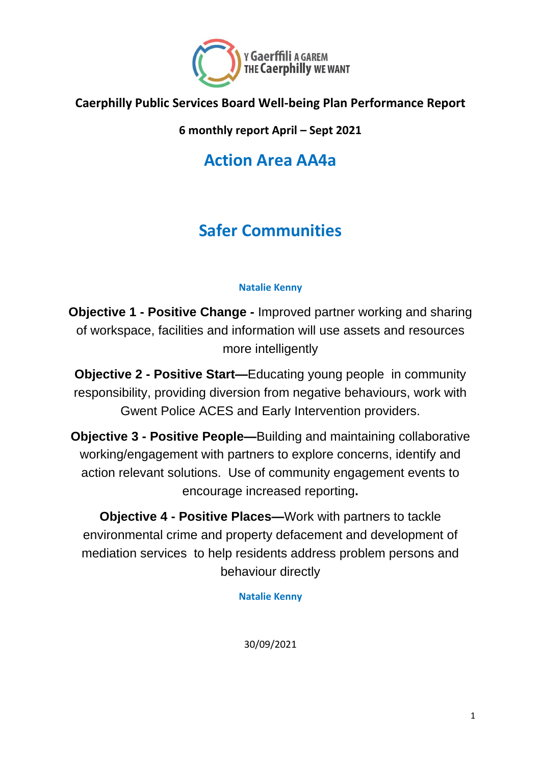

#### **Caerphilly Public Services Board Well-being Plan Performance Report**

**6 monthly report April – Sept 2021**

**Action Area AA4a**

# **Safer Communities**

#### **Natalie Kenny**

**Objective 1 - Positive Change -** Improved partner working and sharing of workspace, facilities and information will use assets and resources more intelligently

**Objective 2 - Positive Start—**Educating young people in community responsibility, providing diversion from negative behaviours, work with Gwent Police ACES and Early Intervention providers.

**Objective 3 - Positive People—**Building and maintaining collaborative working/engagement with partners to explore concerns, identify and action relevant solutions. Use of community engagement events to encourage increased reporting**.**

**Objective 4 - Positive Places—**Work with partners to tackle environmental crime and property defacement and development of mediation services to help residents address problem persons and behaviour directly

**Natalie Kenny**

30/09/2021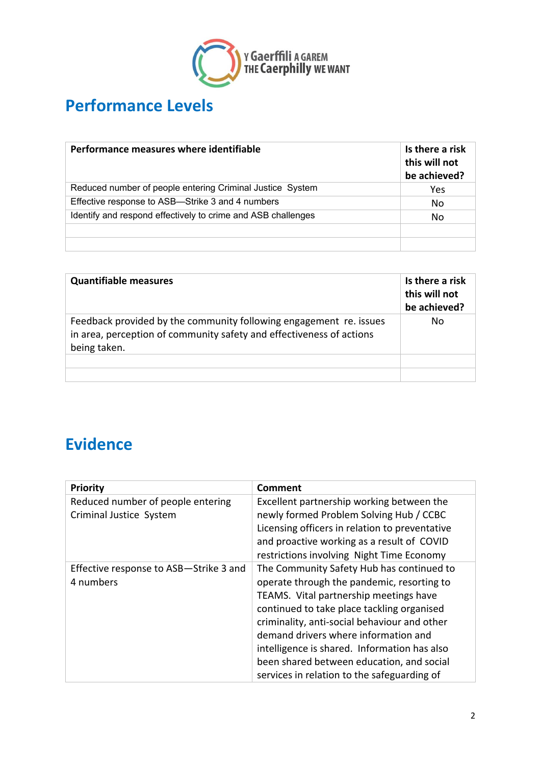

### **Performance Levels**

| Performance measures where identifiable                      | Is there a risk<br>this will not<br>be achieved? |
|--------------------------------------------------------------|--------------------------------------------------|
| Reduced number of people entering Criminal Justice System    | Yes                                              |
| Effective response to ASB-Strike 3 and 4 numbers             | No                                               |
| Identify and respond effectively to crime and ASB challenges | No                                               |
|                                                              |                                                  |
|                                                              |                                                  |

| <b>Quantifiable measures</b>                                                                                                                               | Is there a risk<br>this will not<br>be achieved? |
|------------------------------------------------------------------------------------------------------------------------------------------------------------|--------------------------------------------------|
| Feedback provided by the community following engagement re. issues<br>in area, perception of community safety and effectiveness of actions<br>being taken. | No                                               |
|                                                                                                                                                            |                                                  |
|                                                                                                                                                            |                                                  |

#### **Evidence**

| <b>Priority</b>                        | <b>Comment</b>                                 |
|----------------------------------------|------------------------------------------------|
| Reduced number of people entering      | Excellent partnership working between the      |
| Criminal Justice System                | newly formed Problem Solving Hub / CCBC        |
|                                        | Licensing officers in relation to preventative |
|                                        | and proactive working as a result of COVID     |
|                                        | restrictions involving Night Time Economy      |
| Effective response to ASB-Strike 3 and | The Community Safety Hub has continued to      |
| 4 numbers                              | operate through the pandemic, resorting to     |
|                                        | TEAMS. Vital partnership meetings have         |
|                                        | continued to take place tackling organised     |
|                                        | criminality, anti-social behaviour and other   |
|                                        | demand drivers where information and           |
|                                        | intelligence is shared. Information has also   |
|                                        | been shared between education, and social      |
|                                        | services in relation to the safeguarding of    |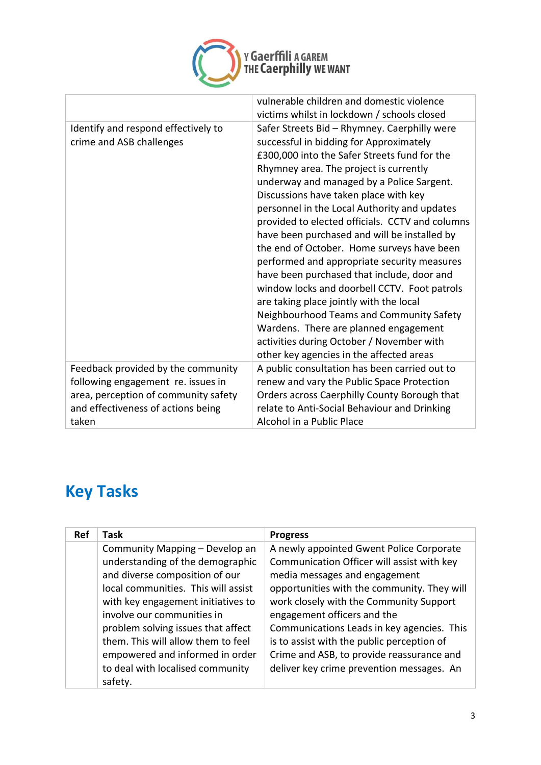

|                                                                                                                                                                 | vulnerable children and domestic violence<br>victims whilst in lockdown / schools closed                                                                                                                                                                                                                                                                                                                                                                                                                                                                                                                                                                                                                                                                                                                                                       |
|-----------------------------------------------------------------------------------------------------------------------------------------------------------------|------------------------------------------------------------------------------------------------------------------------------------------------------------------------------------------------------------------------------------------------------------------------------------------------------------------------------------------------------------------------------------------------------------------------------------------------------------------------------------------------------------------------------------------------------------------------------------------------------------------------------------------------------------------------------------------------------------------------------------------------------------------------------------------------------------------------------------------------|
| Identify and respond effectively to<br>crime and ASB challenges                                                                                                 | Safer Streets Bid - Rhymney. Caerphilly were<br>successful in bidding for Approximately<br>£300,000 into the Safer Streets fund for the<br>Rhymney area. The project is currently<br>underway and managed by a Police Sargent.<br>Discussions have taken place with key<br>personnel in the Local Authority and updates<br>provided to elected officials. CCTV and columns<br>have been purchased and will be installed by<br>the end of October. Home surveys have been<br>performed and appropriate security measures<br>have been purchased that include, door and<br>window locks and doorbell CCTV. Foot patrols<br>are taking place jointly with the local<br>Neighbourhood Teams and Community Safety<br>Wardens. There are planned engagement<br>activities during October / November with<br>other key agencies in the affected areas |
| Feedback provided by the community<br>following engagement re. issues in<br>area, perception of community safety<br>and effectiveness of actions being<br>taken | A public consultation has been carried out to<br>renew and vary the Public Space Protection<br>Orders across Caerphilly County Borough that<br>relate to Anti-Social Behaviour and Drinking<br>Alcohol in a Public Place                                                                                                                                                                                                                                                                                                                                                                                                                                                                                                                                                                                                                       |

# **Key Tasks**

| Ref | Task                                | <b>Progress</b>                             |
|-----|-------------------------------------|---------------------------------------------|
|     | Community Mapping - Develop an      | A newly appointed Gwent Police Corporate    |
|     | understanding of the demographic    | Communication Officer will assist with key  |
|     | and diverse composition of our      | media messages and engagement               |
|     | local communities. This will assist | opportunities with the community. They will |
|     | with key engagement initiatives to  | work closely with the Community Support     |
|     | involve our communities in          | engagement officers and the                 |
|     | problem solving issues that affect  | Communications Leads in key agencies. This  |
|     | them. This will allow them to feel  | is to assist with the public perception of  |
|     | empowered and informed in order     | Crime and ASB, to provide reassurance and   |
|     | to deal with localised community    | deliver key crime prevention messages. An   |
|     | safety.                             |                                             |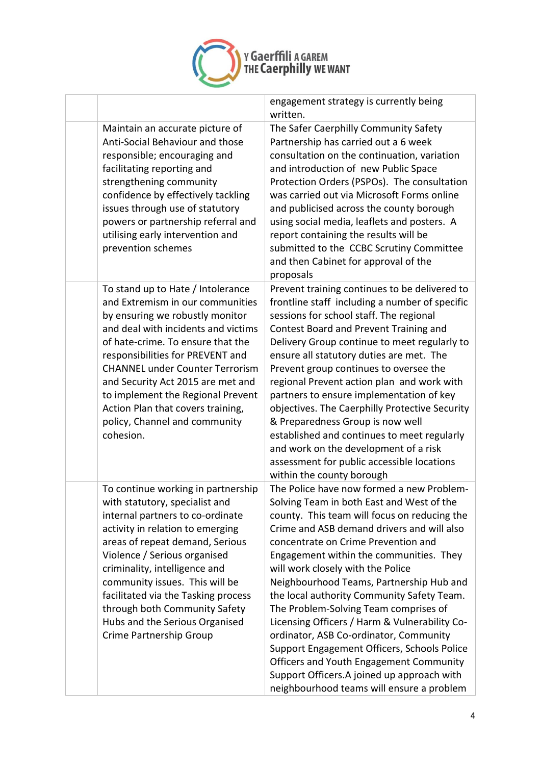

 $\Gamma$ 

|                                                                                                                                                                                                                                                                                                                                                                                                                                 | engagement strategy is currently being<br>written.                                                                                                                                                                                                                                                                                                                                                                                                                                                                                                                                                                                                                                                                             |
|---------------------------------------------------------------------------------------------------------------------------------------------------------------------------------------------------------------------------------------------------------------------------------------------------------------------------------------------------------------------------------------------------------------------------------|--------------------------------------------------------------------------------------------------------------------------------------------------------------------------------------------------------------------------------------------------------------------------------------------------------------------------------------------------------------------------------------------------------------------------------------------------------------------------------------------------------------------------------------------------------------------------------------------------------------------------------------------------------------------------------------------------------------------------------|
| Maintain an accurate picture of<br>Anti-Social Behaviour and those<br>responsible; encouraging and<br>facilitating reporting and<br>strengthening community<br>confidence by effectively tackling<br>issues through use of statutory<br>powers or partnership referral and<br>utilising early intervention and<br>prevention schemes                                                                                            | The Safer Caerphilly Community Safety<br>Partnership has carried out a 6 week<br>consultation on the continuation, variation<br>and introduction of new Public Space<br>Protection Orders (PSPOs). The consultation<br>was carried out via Microsoft Forms online<br>and publicised across the county borough<br>using social media, leaflets and posters. A<br>report containing the results will be<br>submitted to the CCBC Scrutiny Committee<br>and then Cabinet for approval of the<br>proposals                                                                                                                                                                                                                         |
| To stand up to Hate / Intolerance<br>and Extremism in our communities<br>by ensuring we robustly monitor<br>and deal with incidents and victims<br>of hate-crime. To ensure that the<br>responsibilities for PREVENT and<br><b>CHANNEL under Counter Terrorism</b><br>and Security Act 2015 are met and<br>to implement the Regional Prevent<br>Action Plan that covers training,<br>policy, Channel and community<br>cohesion. | Prevent training continues to be delivered to<br>frontline staff including a number of specific<br>sessions for school staff. The regional<br>Contest Board and Prevent Training and<br>Delivery Group continue to meet regularly to<br>ensure all statutory duties are met. The<br>Prevent group continues to oversee the<br>regional Prevent action plan and work with<br>partners to ensure implementation of key<br>objectives. The Caerphilly Protective Security<br>& Preparedness Group is now well<br>established and continues to meet regularly<br>and work on the development of a risk<br>assessment for public accessible locations<br>within the county borough                                                  |
| To continue working in partnership<br>with statutory, specialist and<br>internal partners to co-ordinate<br>activity in relation to emerging<br>areas of repeat demand, Serious<br>Violence / Serious organised<br>criminality, intelligence and<br>community issues. This will be<br>facilitated via the Tasking process<br>through both Community Safety<br>Hubs and the Serious Organised<br>Crime Partnership Group         | The Police have now formed a new Problem-<br>Solving Team in both East and West of the<br>county. This team will focus on reducing the<br>Crime and ASB demand drivers and will also<br>concentrate on Crime Prevention and<br>Engagement within the communities. They<br>will work closely with the Police<br>Neighbourhood Teams, Partnership Hub and<br>the local authority Community Safety Team.<br>The Problem-Solving Team comprises of<br>Licensing Officers / Harm & Vulnerability Co-<br>ordinator, ASB Co-ordinator, Community<br>Support Engagement Officers, Schools Police<br>Officers and Youth Engagement Community<br>Support Officers.A joined up approach with<br>neighbourhood teams will ensure a problem |

Ė